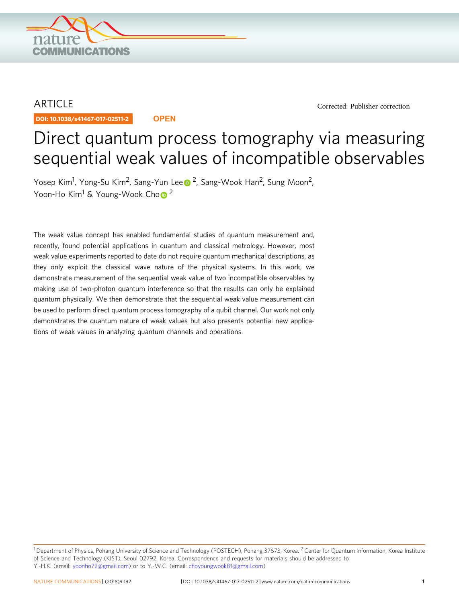

## **ARTICLE**

DOI: 10.1038/s41467-017-02511-2 **OPEN**

[Corrected: Publisher correction](https://doi.org/10.1038/s41467-018-03305-w)

# Direct quantum process tomography via measuring sequential weak values of incompatible observables

Yos[e](http://orcid.org/0000-0003-1777-980X)p Kim<sup>1</sup>, Yong-Su Kim<sup>2</sup>, Sang-Yun Lee D <sup>2</sup>, Sang-Wook Han<sup>2</sup>, Sung Moon<sup>2</sup>, Y[o](http://orcid.org/0000-0002-9673-3916)on-Ho Kim<sup>1</sup> & Young-Wook Cho<sup>[2](http://orcid.org/0000-0002-9673-3916)</sup>

The weak value concept has enabled fundamental studies of quantum measurement and, recently, found potential applications in quantum and classical metrology. However, most weak value experiments reported to date do not require quantum mechanical descriptions, as they only exploit the classical wave nature of the physical systems. In this work, we demonstrate measurement of the sequential weak value of two incompatible observables by making use of two-photon quantum interference so that the results can only be explained quantum physically. We then demonstrate that the sequential weak value measurement can be used to perform direct quantum process tomography of a qubit channel. Our work not only demonstrates the quantum nature of weak values but also presents potential new applications of weak values in analyzing quantum channels and operations.

 $1$ Department of Physics, Pohang University of Science and Technology (POSTECH), Pohang 37673, Korea. <sup>2</sup> Center for Quantum Information, Korea Institute of Science and Technology (KIST), Seoul 02792, Korea. Correspondence and requests for materials should be addressed to Y.-H.K. (email: [yoonho72@gmail.com\)](mailto:yoonho72@gmail.com) or to Y.-W.C. (email: [choyoungwook81@gmail.com\)](mailto:choyoungwook81@gmail.com)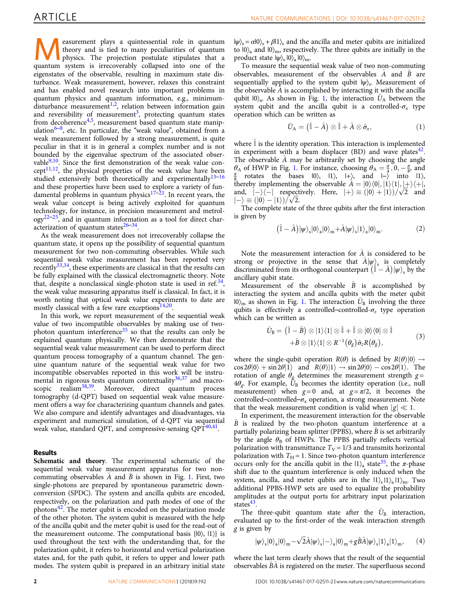**Example 19 and Section Section** posturing the projection postularities of quantum physics. The projection postulate stipulates that a superior postulate stipulates that a superior postulate stipulates that a superior post theory and is tied to many peculiarities of quantum quantum system is irrecoverably collapsed into one of the eigenstates of the observable, resulting in maximum state disturbance. Weak measurement, however, relaxes this constraint and has enabled novel research into important problems in quantum physics and quantum information, e.g., minimum $disturbance measurement<sup>1,2</sup>$ , relation between information gain and reversibility of measurement<sup>[3](#page-4-0)</sup>, protecting quantum states from decoherence<sup>[4](#page-4-0),[5](#page-4-0)</sup>, measurement based quantum state manipulation $6-8$  $6-8$ , etc. In particular, the "weak value", obtained from a weak measurement followed by a strong measurement, is quite peculiar in that it is in general a complex number and is not bounded by the eigenvalue spectrum of the associated observable $9,10$ . Since the first demonstration of the weak value concept<sup>11,12</sup>, the physical properties of the weak value have been studied extensively both theoretically and experimentally $13-16$  $13-16$  $13-16$ and these properties have been used to explore a variety of fundamental problems in quantum physics $17-21$  $17-21$ . In recent years, the weak value concept is being actively exploited for quantum technology, for instance, in precision measurement and metrol- $\log y^{22-25}$  $\log y^{22-25}$  $\log y^{22-25}$  $\log y^{22-25}$  $\log y^{22-25}$ , and in quantum information as a tool for direct characterization of quantum states $26-34$  $26-34$  $26-34$ .

As the weak measurement does not irrecoverably collapse the quantum state, it opens up the possibility of sequential quantum measurement for two non-commuting observables. While such sequential weak value measurement has been reported very recently $33,34$ , these experiments are classical in that the results can be fully explained with the classical electromagnetic theory. Note that, despite a nonclassical single-photon state is used in ref.<sup>34</sup>, the weak value measuring apparatus itself is classical. In fact, it is worth noting that optical weak value experiments to date are mostly classical with a few rare exceptions $14,20$  $14,20$  $14,20$ .

In this work, we report measurement of the sequential weak value of two incompatible observables by making use of twophoton quantum interference $35$  so that the results can only be explained quantum physically. We then demonstrate that the sequential weak value measurement can be used to perform direct quantum process tomography of a quantum channel. The genuine quantum nature of the sequential weak value for two incompatible observables reported in this work will be instrumental in rigorous tests quantum contextuality $36,37$  $36,37$  $36,37$  and macroscopic realism<sup>38,39</sup>. Moreover, direct quantum process tomography (d-QPT) based on sequential weak value measurement offers a way for characterizing quantum channels and gates. We also compare and identify advantages and disadvantages, via experiment and numerical simulation, of d-QPT via sequential weak value, standard QPT, and compressive-sensing QPT<sup>40,41</sup>.

## Results

Schematic and theory. The experimental schematic of the sequential weak value measurement apparatus for two noncommuting observables  $\ddot{A}$  and  $\ddot{B}$  is shown in Fig. [1](#page-2-0). First, two single-photons are prepared by spontaneous parametric downconversion (SPDC). The system and ancilla qubits are encoded, respectively, on the polarization and path modes of one of the photons[42.](#page-5-0) The meter qubit is encoded on the polarization mode of the other photon. The system qubit is measured with the help of the ancilla qubit and the meter qubit is used for the read-out of the measurement outcome. The computational basis  $\{0\}$ ,  $|1\rangle\}$  is used throughout the text with the understanding that, for the polarization qubit, it refers to horizontal and vertical polarization states and, for the path qubit, it refers to upper and lower path modes. The system qubit is prepared in an arbitrary initial state

 $|\psi\rangle_s = \alpha|0\rangle_s + \beta|1\rangle_s$  and the ancilla and meter qubits are initialized to  $|0\rangle$ <sub>a</sub> and  $|0\rangle$ <sub>m</sub>, respectively. The three qubits are initially in the product state  $|\psi\rangle_s |0\rangle_a |0\rangle_m$ .

To measure the sequential weak value of two non-commuting observables, measurement of the observables  $\hat{A}$  and  $\hat{B}$  are sequentially applied to the system qubit  $|\psi\rangle$ . Measurement of the observable  $\hat{A}$  is accomplished by interacting it with the ancilla qubit  $|0\rangle_a$ . As shown in Fig. [1](#page-2-0), the interaction  $\hat{U}_A$  between the system qubit and the ancilla qubit is a controlled- $\sigma_x$  type operation which can be written as

$$
\hat{U}_{A} = (\hat{\mathbb{I}} - \hat{A}) \otimes \hat{\mathbb{I}} + \hat{A} \otimes \hat{\sigma}_{x}, \tag{1}
$$

where  $\mathbb I$  is the identity operation. This interaction is implemented in experiment with a beam displacer (BD) and wave plates $42$ . The observable A may be arbitrarily set by choosing the angle  $\theta_A$  of HWP in Fig. [1](#page-2-0). For instance, choosing  $\theta_A = \frac{\pi}{4}$ ,  $0, -\frac{\pi}{8}$ , and  $\frac{\pi}{8}$  rotates the bases  $|0\rangle$ .  $|1\rangle$ .  $|+\rangle$  and  $|-\rangle$  into  $|1\rangle$ . rotates the bases  $|0\rangle$ ,  $|1\rangle$ ,  $|+\rangle$ , and  $|-\rangle$  into  $|1\rangle$ , thereby implementing the observable  $\hat{A} = |0\rangle\langle 0|, |1\rangle\langle 1|, |+\rangle\langle +|$ , and,  $|-\rangle\langle-|$  respectively. Here,  $|+\rangle \equiv (|0\rangle + |1\rangle)/\sqrt{2}$  and  $|-\rangle = (|0\rangle - |1\rangle)/\sqrt{2}$ .  $\langle - \rangle \equiv ( |0 \rangle - |1 \rangle ) / \sqrt{2}$ .<br>The complete state

The complete state of the three qubits after the first interaction is given by

$$
(\hat{\mathbb{I}} - \hat{A}) |\psi\rangle_{s} |0\rangle_{a} |0\rangle_{m} + \hat{A} |\psi\rangle_{s} |1\rangle_{a} |0\rangle_{m}.
$$
 (2)

Note the measurement interaction for  $\hat{A}$  is considered to be strong or projective in the sense that  $A|\psi\rangle$ <sub>s</sub> is completely discriminated from its orthogonal counterpart  $(\hat{\mathbb{I}} - \hat{A}) |\psi\rangle_s$  by the ancillary qubit state. ancillary qubit state.

Measurement of the observable  $\hat{B}$  is accomplished by interacting the system and ancilla qubits with the meter qubit  $|0\rangle$ <sub>m</sub> as shown in Fig. [1.](#page-2-0) The interaction  $\hat{U}_{\text{B}}$  involving the three qubits is effectively a controlled–controlled- $\sigma_z$  type operation which can be written as

$$
\hat{U}_{\text{B}} = (\hat{\mathbb{I}} - \hat{B}) \otimes |1\rangle\langle 1| \otimes \hat{\mathbb{I}} + \hat{\mathbb{I}} \otimes |0\rangle\langle 0| \otimes \hat{\mathbb{I}} \n+ \hat{B} \otimes |1\rangle\langle 1| \otimes R^{-1}(\theta_g) \hat{\sigma}_z R(\theta_g),
$$
\n(3)

where the single-qubit operation  $R(\theta)$  is defined by  $R(\theta)|0\rangle \rightarrow$  $\cos 2\theta |0\rangle + \sin 2\theta |1\rangle$  and  $R(\theta)|1\rangle \rightarrow \sin 2\theta |0\rangle - \cos 2\theta |1\rangle$ . The rotation of angle  $\theta_2$  determines the measurement strength  $\sigma =$ rotation of angle  $\theta_{\alpha}$  determines the measurement strength  $g =$  $4\theta_{\rm e}$ . For example,  $\bar{U}_{\rm B}$  becomes the identity operation (i.e., null measurement) when  $g=0$  and, at  $g=\pi/2$ , it becomes the controlled–controlled– $\sigma_r$  operation, a strong measurement. Note that the weak measurement condition is valid when  $|g| \ll 1$ .

In experiment, the measurement interaction for the observable  $B$  is realized by the two-photon quantum interference at a partially polarizing beam splitter (PPBS), where  $\hat{B}$  is set arbitrarily by the angle  $\theta_B$  of HWPs. The PPBS partially reflects vertical polarization with transmittance  $T_V = 1/3$  and transmits horizontal polarization with  $T_H = 1$ . Since two-photon quantum interference occurs only for the ancilla qubit in the  $|1\rangle$ <sub>a</sub> state<sup>35</sup>, the  $\pi$ -phase shift due to the quantum interference is only induced when the system, ancilla, and meter qubits are in the  $|1\rangle_s |1\rangle_n |1\rangle_m$ . Two additional PPBS-HWP sets are used to equalize the probability amplitudes at the output ports for arbitrary input polarization states $43$ .

The three-qubit quantum state after the  $U_B$  interaction, evaluated up to the first-order of the weak interaction strength  $g$  is given by

$$
|\psi\rangle_{s}|0\rangle_{a}|0\rangle_{m}-\sqrt{2}\hat{A}|\psi\rangle_{s}|-\rangle_{a}|0\rangle_{m}+g\hat{B}\hat{A}|\psi\rangle_{s}|1\rangle_{a}|1\rangle_{m},\qquad (4)
$$

where the last term clearly shows that the result of the sequential observables B^A^ is registered on the meter. The superfluous second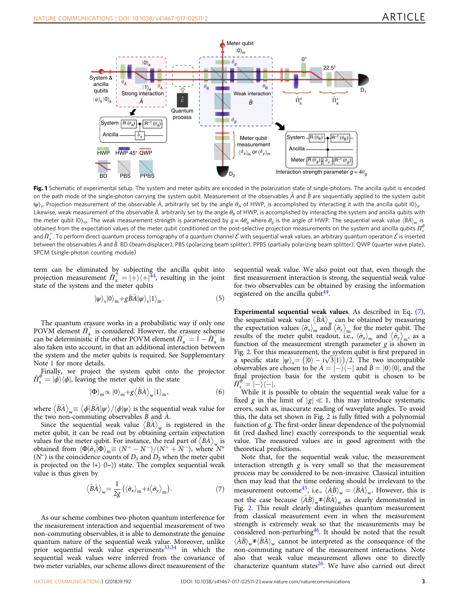<span id="page-2-0"></span>

Fig. 1 Schematic of experimental setup. The system and meter qubits are encoded in the polarization state of single-photons. The ancilla qubit is encoded on the path mode of the single-photon carrying the system qubit. Measurement of the observables  $\hat{A}$  and  $\hat{B}$  are sequentially applied to the system qubit  $|\psi\rangle$ <sub>s</sub>. Projection measurement of the observable  $\hat{A}$ , arbitrarily set by the angle  $\theta_A$  of HWP, is accomplished by interacting it with the ancilla qubit  $|0\rangle_a$ . Likewise, weak measurement of the observable  $\hat{B}$ , arbitrarily set by the angle  $\theta_B$  of HWP, is accomplished by interacting the system and ancilla qubits with the meter qubit  $|0\rangle_m$ . The weak measurement strength is parameterized by  $g = 4\theta_q$  where  $\theta_q$  is the angle of HWP. The sequential weak value  $\langle \hat{\beta} \hat{A} \rangle_w$  is obtained from the expectation values of the meter qubit conditioned on the post-selective projection measurements on the system and ancilla qubits  $\hat{\Pi}_{s}^{\phi}$ and  $\hat{\Pi}^{\pm}_{a}$ . To perform direct quantum process tomography of a quantum channel  $\hat{\mathcal{E}}$  with sequential weak values, an arbitrary quantum operation  $\hat{\mathcal{E}}$  is inserted by the state of  $\hat{\mathcal{E}}$  is inserted by between the observables  $\hat{A}$  and  $\hat{B}$ . BD (beam displacer), PBS (polarizing beam splitter), PPBS (partially polarizing beam splitter), QWP (quarter wave plate), SPCM (single-photon counting module)

term can be eliminated by subjecting the ancilla qubit into projection measurement  $\hat{H}_a^+ = |+\rangle\langle +|^{\frac{3}{4}}$ , resulting in the joint state of the system and the meter qubits state of the system and the meter qubits

$$
|\psi\rangle_{\rm s}|0\rangle_{\rm m} + g\hat{B}\hat{A}|\psi\rangle_{\rm s}|1\rangle_{\rm m}.\tag{5}
$$

The quantum erasure works in a probabilistic way if only one POVM element  $\hat{\Pi}_{a}^{+}$  is considered. However, the erasure scheme can be deterministic if the other POVM element  $\hat{H}_a^- = \hat{I} - \hat{H}_a^+$  is<br>also taken into account, in that an additional interaction between also taken into account, in that an additional interaction between the system and the meter qubits is required. See Supplementary Note 1 for more details.

Finally, we project the system qubit onto the projector  $\hat{\Pi}^{\phi}_{s} = |\phi\rangle\langle\phi|$ , leaving the meter qubit in the state

$$
|\Phi\rangle_{\rm m} \propto |0\rangle_{\rm m} + g \langle \hat{B}\hat{A} \rangle_{\rm w} |1\rangle_{\rm m},\tag{6}
$$

where  $\langle \hat{B} \hat{A} \rangle_w \equiv \langle \phi | \hat{B} \hat{A} | \psi \rangle / \langle \phi | \psi \rangle$  is the sequential weak value for the two non-commuting observables  $\hat{B}$  and  $\hat{A}$ the two non-commuting observables  $B$  and  $A$ .

Since the sequential weak value  $\langle B\hat{A}\rangle_{\rm w}$  is registered in the meter qubit, it can be read out by obtaining certain expectation values for the meter qubit. For instance, the real part of  $\langle \hat{B}\hat{A} \rangle_{w}$  is obtained from  $\langle \Phi | \hat{\sigma}_x | \Phi \rangle_m \equiv (N^+ - N^-)/(N^+ + N^-)$ , where  $N^+$ <br>(N<sup>-</sup>) is the coincidence counts of D, and D, when the meter qubit ( $N^-$ ) is the coincidence counts of  $D_1$  and  $D_2$  when the meter qubit is projected on the  $|+\rangle$  ( $|-\rangle$ ) state. The complex sequential weak value is thus given by

$$
\langle \hat{B}\hat{A}\rangle_{\rm w} = \frac{1}{2g} \left( \langle \hat{\sigma}_x \rangle_{\rm m} + i \langle \hat{\sigma}_y \rangle_{\rm m} \right). \tag{7}
$$

As our scheme combines two-photon quantum interference for the measurement interaction and sequential measurement of two non-commuting observables, it is able to demonstrate the genuine quantum nature of the sequential weak value. Moreover, unlike prior sequential weak value experiments $33,34$  $33,34$  $33,34$  in which the sequential weak values were inferred from the covariance of two meter variables, our scheme allows direct measurement of the sequential weak value. We also point out that, even though the first measurement interaction is strong, the sequential weak value for two observables can be obtained by erasing the information registered on the ancilla qubit $44$ .

Experimental sequential weak values. As described in Eq. (7), the sequential weak value  $\langle B\hat{A}\rangle_{\rm w}$  can be obtained by measuring the expectation values  $\langle \hat{\sigma}_x \rangle_m$  and  $\langle \hat{\sigma}_y \rangle_m$  for the meter qubit. The results of the meter qubit readout, i.e.,  $\langle \hat{\sigma}_x \rangle$  and  $\langle \hat{\sigma}_y \rangle$ , as a results of the meter qubit readout, i.e.,  $\langle \hat{\sigma}_x \rangle_m$  and  $\langle \hat{\sigma}_y \rangle_m$ , as a function of the measurement strength parameter  $\sigma$  is shown in function of the measurement strength parameter  $g$  is shown in Fig. [2.](#page-3-0) For this measurement, the system qubit is first prepared in a specific state  $|\psi\rangle_s = (0) - i\sqrt{3}(1))/2$ . The two incompatible<br>observables are chosen to be  $\hat{A} = |-\rangle \langle -|$  and  $\hat{B} = |0\rangle \langle 0|$ , and the observables are chosen to be  $\hat{A} = \left| - \right| \left\langle - \right|$  and  $\hat{B} = \left| 0 \right\rangle \left\langle 0 \right|$ , and the final projection basis for the system qubit is chosen to be final projection basis for the system qubit is chosen to be  $\hat{\Pi}_{s}^{\phi} = |-\rangle\langle -|$ .<br>While it is

While it is possible to obtain the sequential weak value for a fixed g in the limit of  $|g| \ll 1$ , this may introduce systematic errors, such as, inaccurate reading of waveplate angles. To avoid this, the data set shown in Fig. [2](#page-3-0) is fully fitted with a polynomial function of g. The first-order linear dependence of the polynomial fit (red dashed line) exactly corresponds to the sequential weak value. The measured values are in good agreement with the theoretical predictions.

Note that, for the sequential weak value, the measurement interaction strength  $g$  is very small so that the measurement process may be considered to be non-invasive. Classical intuition then may lead that the time ordering should be irrelevant to the measurement outcome<sup>45</sup>, i.e.,  $\langle \hat{A}\hat{B}\rangle_{w} = \langle \hat{B}\hat{A}\rangle_{w}$ . However, this is not the case because  $\langle \hat{A}\hat{B}\rangle_{w} \neq \langle \hat{B}\hat{A}\rangle_{w}$  as clearly demonstrated in Fig. [2](#page-3-0). This result clearly distinguishes quantum measurement from classical measurement even in when the measurement strength is extremely weak so that the measurements may be considered non-perturbing<sup>[46](#page-5-0)</sup>. It should be noted that the result  $\langle \hat{A}\hat{B}\rangle_{\rm w}$ ≠ $\langle \hat{B}\hat{A}\rangle_{\rm w}$  cannot be interpreted as the consequence of the non-commuting nature of the measurement interactions. Note also that weak value measurement allows one to directly characterize quantum states $^{26}$  $^{26}$  $^{26}$ . We have also carried out direct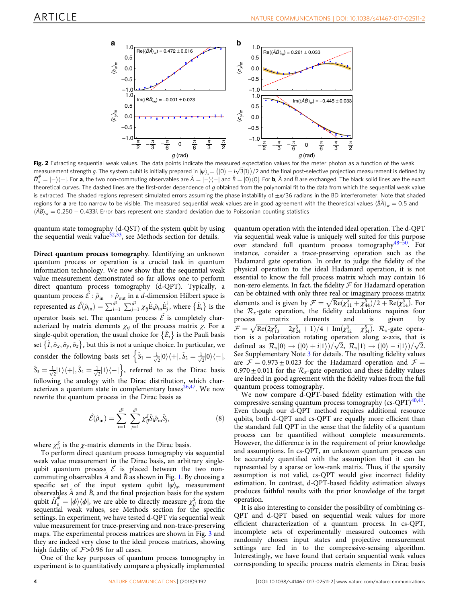<span id="page-3-0"></span>

Fig. 2 Extracting sequential weak values. The data points indicate the measured expectation values for the meter photon as a function of the weak measurement strength g. The system qubit is initially prepared in  $|\psi\rangle_s = (0) - i\sqrt{3}|1\rangle/2$  and the final post-selective projection measurement is defined by<br> $\hat{\tau}^{\phi} = 1/\sqrt{1-\pi}$  is the two non-commuting observables are  $\$  $\hat{\Pi}^{\phi}_{s} = |-\rangle\langle -|$ . For **a**, the two non-commuting observables are  $\hat{A} = |-\rangle\langle -|$  and  $\hat{B} = |0\rangle\langle 0|$ . For **b**,  $\hat{A}$  and  $\hat{B}$  are exchanged. The black solid lines are the exact  $\frac{1}{s}$   $\frac{1}{s}$  i-1.0. **a**, the two non-community observances are  $\frac{1}{s}$  in the  $\frac{1}{s}$  plana  $\frac{1}{s}$   $\frac{1}{s}$  in  $\frac{1}{s}$ . The data from which the sequential weak value<br>is extracted curves. The dashed ines a is extracted. The shaded regions represent simulated errors assuming the phase instability of  $\pm \pi/36$  radians in the BD interferometer. Note that shaded regions for **a** are too narrow to be visible. The measured sequential weak values are in good agreement with the theoretical values  $\langle BA\rangle_w = 0.5$  and  $\langle \hat{A}\hat{B}\rangle_{\rm w} =$  0.250  $-$  0.433*i*. Error bars represent one standard deviation due to Poissonian counting statistics

quantum state tomography (d-QST) of the system qubit by using the sequential weak value $32,33$ , see Methods section for details.

Direct quantum process tomography. Identifying an unknown quantum process or operation is a crucial task in quantum information technology. We now show that the sequential weak value measurement demonstrated so far allows one to perform direct quantum process tomography (d-QPT). Typically, a quantum process  $\hat{\mathcal{E}} : \hat{\rho}_{in} \to \hat{\rho}_{out}$  in a *d*-dimension Hilbert space is represented as  $\hat{\mathcal{E}}(\hat{\rho}_{in}) = \sum_{i=1}^{d^2} \sum_{j=1}^{d^2} \chi_{ij} \hat{E}_i \hat{\rho}_{in} \hat{E}_j^{\dagger}$ , where  $\{\hat{E}_i\}$  is the operator basis set. The quantum process  $\hat{\mathcal{E}}$  is completely characterized by matrix elements  $\chi_{ij}$  of the process matrix  $\chi$ . For a single-qubit operation, the usual choice for  $\left\{ \hat{E}_{i}\right\}$  is the Pauli basis set  $\{\hat{I}, \hat{\sigma}_x, \hat{\sigma}_y, \hat{\sigma}_z\}$ , but this is not a unique choice. In particular, we consider the following basis set  $\left\{\hat{S}_1 = \frac{1}{\sqrt{2}} |0\rangle\langle +|, \hat{S}_2 = \frac{1}{\sqrt{2}} |0\rangle\langle -|, \right\}$  $\hat{S}_3 = \frac{1}{\sqrt{2}} |1\rangle\langle + |$ ,  $\hat{S}_4 = \frac{1}{\sqrt{2}} |1\rangle\langle - |$ , referred to as the Dirac basis following the analogy with the Dirac distribution, which characterizes a quantum state in complementary bases $26,47$ . We now rewrite the quantum process in the Dirac basis as

$$
\hat{\mathcal{E}}(\hat{\rho}_{\text{in}}) = \sum_{i=1}^{d^2} \sum_{j=1}^{d^2} \chi_{ij}^{\mathcal{S}} \hat{\mathbf{S}}_i \hat{\rho}_{\text{in}} \hat{\mathbf{S}}_j, \tag{8}
$$

where  $\chi_{ij}^S$  is the *χ*-matrix elements in the Dirac basis.

To perform direct quantum process tomography via sequential weak value measurement in the Dirac basis, an arbitrary singlequbit quantum process  $\hat{\mathcal{E}}$  is placed between the two noncommuting observables  $\ddot{A}$  and  $\ddot{B}$  as shown in Fig. [1.](#page-2-0) By choosing a specific set of the input system qubit  $|\psi\rangle$ <sub>s</sub>, measurement observables  $\ddot{A}$  and  $\ddot{B}$ , and the final projection basis for the system qubit  $\hat{H}^{\phi} = |\phi\rangle\langle\phi|$ , we are able to directly measure  $\chi^S_i$  from the sequential weak values, see Methods section for the specific sequential weak values, see Methods section for the specific settings. In experiment, we have tested d-QPT via sequential weak value measurement for trace-preserving and non-trace-preserving maps. The experimental process matrices are shown in Fig. [3](#page-4-0) and they are indeed very close to the ideal process matrices, showing high fidelity of  $F > 0.96$  for all cases.

One of the key purposes of quantum process tomography in experiment is to quantitatively compare a physically implemented quantum operation with the intended ideal operation. The d-QPT via sequential weak value is uniquely well suited for this purpose over standard full quantum process tomography[48](#page-5-0)–[50](#page-5-0). For instance, consider a trace-preserving operation such as the Hadamard gate operation. In order to judge the fidelity of the physical operation to the ideal Hadamard operation, it is not essential to know the full process matrix which may contain 16 non-zero elements. In fact, the fidelity  $\mathcal F$  for Hadamard operation can be obtained with only three real or imaginary process matrix elements and is given by  $\mathcal{F} = \sqrt{\text{Re}(\chi_{11}^S + \chi_{41}^S)/2 + \text{Re}(\chi_{11}^S)}$ . For<br>the  $\mathcal{R}_{\alpha}$ -gate operation, the fidelity calculations requires four the  $\mathcal{R}_x$ -gate operation, the fidelity calculations requires four process matrix elements and is given by elements  $\mathcal{F} = \sqrt{\text{Re}(2\chi_{13}^S - 2\chi_{24}^S + 1)/4 + \text{Im}(\chi_{12}^S - \chi_{34}^S)}$ .  $\mathcal{R}_x$ -gate operation is a polarization rotating operation along x-axis, that is  $U = \sqrt{\text{RC}(2/13 - 2/24 + 1)/4 + \text{Hil}(12 - 2/34)}$ .  $V_x$ -gate operation is a polarization rotating operation along x-axis, that is defined as  $\mathcal{R}_x|0\rangle \rightarrow (|0\rangle + i|1\rangle)/\sqrt{2}$ ,  $\mathcal{R}_x|1\rangle \rightarrow (|0\rangle - i|1\rangle)/\sqrt{2}$ .<br>See Supplementary Note 3 for details. The resulting fidelity values See Supplementary Note 3 for details. The resulting fidelity values are  $\mathcal{F} = 0.973 \pm 0.023$  for the Hadamard operation and  $\mathcal{F} =$  $0.970 \pm 0.011$  for the  $\mathcal{R}_x$ -gate operation and these fidelity values are indeed in good agreement with the fidelity values from the full quantum process tomography.

We now compare d-QPT-based fidelity estimation with the compressive-sensing quantum process tomography  $(cs-QPT)^{40,41}$ . Even though our d-QPT method requires additional resource qubits, both d-QPT and cs-QPT are equally more efficient than the standard full QPT in the sense that the fidelity of a quantum process can be quantified without complete measurements. However, the difference is in the requirement of prior knowledge and assumptions. In cs-QPT, an unknown quantum process can be accurately quantified with the assumption that it can be represented by a sparse or low-rank matrix. Thus, if the sparsity assumption is not valid, cs-QPT would give incorrect fidelity estimation. In contrast, d-QPT-based fidelity estimation always produces faithful results with the prior knowledge of the target operation.

It is also interesting to consider the possibility of combining cs-QPT and d-QPT based on sequential weak values for more efficient characterization of a quantum process. In cs-QPT, incomplete sets of experimentally measured outcomes with randomly chosen input states and projective measurement settings are fed in to the compressive-sensing algorithm. Interestingly, we have found that certain sequential weak values corresponding to specific process matrix elements in Dirac basis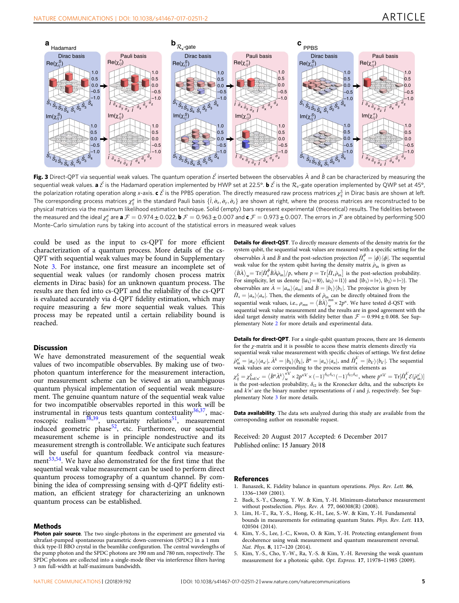<span id="page-4-0"></span>

Fig. 3 Direct-QPT via sequential weak values. The quantum operation  $\hat{\mathcal{E}}$  inserted between the observables  $\hat{A}$  and  $\hat{B}$  can be characterized by measuring the sequential weak values. **a**  $\hat{\mathcal{E}}$  is the Hadamard operation implemented by HWP set at 22.5°. **b**  $\hat{\mathcal{E}}$  is the  $\mathcal{R}_x$ -gate operation implemented by QWP set at 45°, the polarization rotating operation along x-axis. **c**  $\hat{\mathcal{E}}$  is the PPBS operation. The directly measured raw process matrices  $\chi^S_{\hat{y}}$  in Dirac basis are shown at left.<br>The corresponding process matrices  $\chi^g$  i The corresponding process matrices  $\chi_{ij}^{\sigma}$  in the standard Pauli basis  $\{\hat{l}, \hat{\sigma}_x, \hat{\sigma}_y, \hat{\sigma}_z\}$  are shown at right, where the process matrices are reconstructed to be<br>physical matrices via the maximum likelihood physical matrices via the maximum likelihood estimation technique. Solid (empty) bars represent experimental (theoretical) results. The fidelities between the measured and the ideal  $\chi_{ij}^{\sigma}$  are **a**  $\mathcal{F} = 0.973 \pm 0.022$ , **b**  $\mathcal{F} = 0.963 \pm 0.007$  and **c**  $\mathcal{F} = 0.973 \pm 0.007$ . The errors in  $\mathcal{F}$  are obtained by performing 500 Monto-Carlo simulation runs by tak Monte–Carlo simulation runs by taking into account of the statistical errors in measured weak values

could be used as the input to cs-QPT for more efficient characterization of a quantum process. More details of the cs-QPT with sequential weak values may be found in Supplementary Note 3. For instance, one first measure an incomplete set of sequential weak values (or randomly chosen process matrix elements in Dirac basis) for an unknown quantum process. The results are then fed into cs-QPT and the reliability of the cs-QPT is evaluated accurately via d-QPT fidelity estimation, which may require measuring a few more sequential weak values. This process may be repeated until a certain reliability bound is reached.

### **Discussion**

We have demonstrated measurement of the sequential weak values of two incompatible observables. By making use of twophoton quantum interference for the measurement interaction, our measurement scheme can be viewed as an unambiguous quantum physical implementation of sequential weak measurement. The genuine quantum nature of the sequential weak value for two incompatible observables reported in this work will be instrumental in rigorous tests quantum contextuality $36,37$ , macroscopic realism<sup>38,39</sup>, uncertainty relations<sup>51</sup>, measurement induced geometric phase<sup>52</sup>, etc. Furthermore, our sequential measurement scheme is in principle nondestructive and its measurement strength is controllable. We anticipate such features will be useful for quantum feedback control via measure-ment<sup>[53,54](#page-5-0)</sup>. We have also demonstrated for the first time that the sequential weak value measurement can be used to perform direct quantum process tomography of a quantum channel. By combining the idea of compressing sensing with d-QPT fidelity estimation, an efficient strategy for characterizing an unknown quantum process can be established.

#### Methods

Photon pair source. The two single-photons in the experiment are generated via ultrafast-pumped spontaneous parametric down-conversion (SPDC) in a 1 mm thick type-II BBO crystal in the beamlike configuration. The central wavelengths of the pump photon and the SPDC photons are 390 nm and 780 nm, respectively. The SPDC photons are collected into a single-mode fiber via interference filters having 3 nm full-width at half-maximum bandwidth.

Details for direct-QST. To directly measure elements of the density matrix for the system qubit, the sequential weak values are measured with a specific setting for the observables  $\hat{A}$  and  $\hat{B}$  and the post-selection projection  $\hat{\Pi}^{\phi}_{s} = |\phi\rangle\langle\phi|$ . The sequential weak value for the system qubit having the density matrix  $\hat{a}$ , is given as weak value for the system qubit having the density matrix  $\hat{\rho}_{\text{in}}$  is given as  $\langle \hat{B} \hat{A} \rangle_{\rm w} = \text{Tr}[\hat{T}_s^{\phi} \hat{B} \hat{A} \hat{\rho}_{\rm in}] / p$ , where  $p = \text{Tr}[\hat{T}_s \hat{\rho}_{\rm in}]$  is the post-selection probability. For simplicity, let us denote  $\{|a_1\rangle = |0\rangle$ ,  $|a_2\rangle = |1\rangle\}$  and  $\{|b_1\rangle = |+\rangle$ ,  $|b_2\rangle = |-\rangle\}$ . The observables are  $\hat{A} = |a_m\rangle\langle a_m|$  and  $\hat{B} = |b_1\rangle\langle b_1|$ . The projector is given by  $\hat{\Pi}_s = |a_n\rangle\langle a_n|$ . Then, the elements of  $\hat{\rho}_{in}$  can be directly obtained from the sequential weak values, i.e.,  $\rho_{mn} = \langle \hat{B} \hat{A} \rangle_{m}^{mn} \times 2p^n$ . We have tested d-QST with sequential weak value measurement and the results are in good agreement with the ideal target density matrix with fidelity better than  $\mathcal{F} = 0.994 \pm 0.008$ . See Supplementary Note 2 for more details and experimental data.

Details for direct-QPT. For a single-qubit quantum process, there are 16 elements for the χ-matrix and it is possible to access these matrix elements directly via sequential weak value measurement with specific choices of settings. We first define  $\hat{\rho}^{n'}_{\text{lin}} = |a_{n'}\rangle\langle a_{n'}|, \hat{A}^k = |b_k\rangle\langle b_k|, \hat{B}^n = |a_n\rangle\langle a_n|$ , and  $\hat{\Pi}^k_s = |b_k\rangle\langle b_k|$ . The sequential weak values are corresponding to the process matrix elements as weak values are corresponding to the process matrix elements as

 $\chi_{ij}^S = \chi_{k n k' n'}^S = \langle \hat{B}^n \hat{A}^k \rangle_{n \times N}^{n' k'} \times (1)^{\delta_{k2} \delta_{n2}} (-1)^{\delta_{k2} \delta_{n2}}$ , where  $p^{\prime n' k'} = \text{Tr}[\hat{B}_s^k \mathcal{E}(\hat{\rho}_{n \times n}^{n'})]$  $\chi_{ij} = \chi_{knkn'} - \langle P A \rangle_{w} \sim 2P \sim (-1)$  (-1) where  $P = \Pi_{[1]} \chi_{[C)}(p_{in)}$ <br>is the post-selection probability,  $\delta_{i2}$  is the Kronecker delta, and the subscripts kn and  $k'n'$  are the binary number representations of  $i$  and  $j$ , respectively. See Supplementary Note 3 for more details.

Data availability. The data sets analyzed during this study are available from the corresponding author on reasonable request.

Received: 20 August 2017 Accepted: 6 December 2017 Published online: 15 January 2018

#### References

- 1. Banaszek, K. Fidelity balance in quantum operations. Phys. Rev. Lett. 86, 1336–1369 (2001).
- 2. Baek, S.-Y., Cheong, Y. W. & Kim, Y.-H. Minimum-disturbance measurement without postselection. Phys. Rev. A 77, 060308(R) (2008).
- 3. Lim, H.-T., Ra, Y.-S., Hong, K.-H., Lee, S.-W. & Kim, Y.-H. Fundamental bounds in measurements for estimating quantum States. Phys. Rev. Lett. 113, 020504 (2014).
- 4. Kim, Y.-S., Lee, J.-C., Kwon, O. & Kim, Y.-H. Protecting entanglement from decoherence using weak measurement and quantum measurement reversal. Nat. Phys. 8, 117–120 (2014).
- 5. Kim, Y.-S., Cho, Y.-W., Ra, Y.-S. & Kim, Y.-H. Reversing the weak quantum measurement for a photonic qubit. Opt. Express. 17, 11978–11985 (2009).